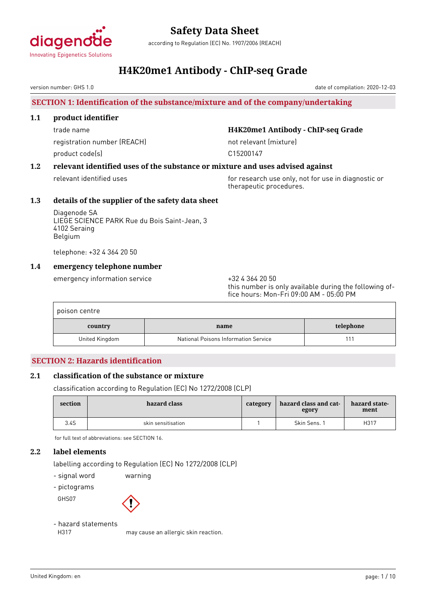

according to Regulation (EC) No. 1907/2006 (REACH)

### **H4K20me1 Antibody - ChIP-seq Grade**

version number: GHS 1.0

#### **SECTION 1: Identification of the substance/mixture and of the company/undertaking**

#### **1.1 product identifier**

registration number (REACH) not relevant (mixture) product code(s) and compared the control of the C15200147

#### trade name **H4K20me1 Antibody - ChIP-seq Grade**

#### **1.2 relevant identified uses of the substance or mixture and uses advised against**

relevant identified uses for research use only, not for use in diagnostic or therapeutic procedures.

#### **1.3 details of the supplier of the safety data sheet**

Diagenode SA LIEGE SCIENCE PARK Rue du Bois Saint-Jean, 3 4102 Seraing Belgium

telephone: +32 4 364 20 50

#### **1.4 emergency telephone number**

emergency information service  $+3243642050$ 

this number is only available during the following office hours: Mon-Fri 09:00 AM - 05:00 PM

| poison centre  |                                      |           |
|----------------|--------------------------------------|-----------|
| country        | name                                 | telephone |
| United Kingdom | National Poisons Information Service |           |

#### **SECTION 2: Hazards identification**

#### **2.1 classification of the substance or mixture**

classification according to Regulation (EC) No 1272/2008 (CLP)

| section | hazard class       | category | hazard class and cat-<br>egory | hazard state-<br>ment |
|---------|--------------------|----------|--------------------------------|-----------------------|
| 3.4S    | skin sensitisation |          | Skin Sens. 1                   | H317                  |

for full text of abbreviations: see SECTION 16.

#### **2.2 label elements**

labelling according to Regulation (EC) No 1272/2008 (CLP)

- signal word warning

- pictograms





#### - hazard statements

H317 may cause an allergic skin reaction.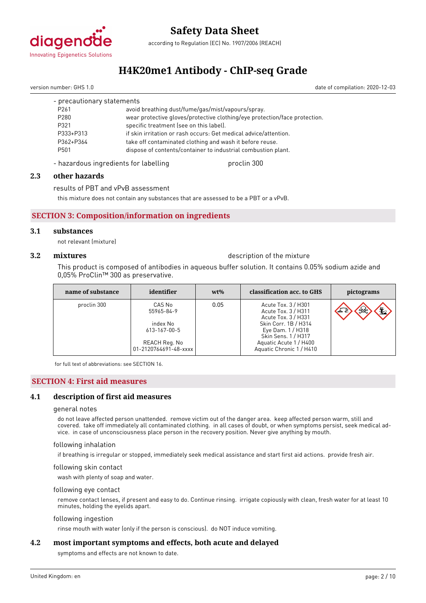

according to Regulation (EC) No. 1907/2006 (REACH)

### **H4K20me1 Antibody - ChIP-seq Grade**

version number: GHS 1.0 date of compilation: 2020-12-03

| - precautionary statements |                                                                            |
|----------------------------|----------------------------------------------------------------------------|
| P <sub>261</sub>           | avoid breathing dust/fume/gas/mist/vapours/spray.                          |
| P <sub>280</sub>           | wear protective gloves/protective clothing/eye protection/face protection. |
| P321                       | specific treatment (see on this label).                                    |
| P333+P313                  | if skin irritation or rash occurs: Get medical advice/attention.           |
| P362+P364                  | take off contaminated clothing and wash it before reuse.                   |
| P501                       | dispose of contents/container to industrial combustion plant.              |
|                            |                                                                            |

- hazardous ingredients for labelling proclin 300

#### **2.3 other hazards**

results of PBT and vPvB assessment

this mixture does not contain any substances that are assessed to be a PBT or a vPvB.

#### **SECTION 3: Composition/information on ingredients**

#### **3.1 substances**

not relevant (mixture)

**3.2 mixtures** description of the mixture

This product is composed of antibodies in aqueous buffer solution. It contains 0.05% sodium azide and 0,05% ProClin™ 300 as preservative.

| name of substance | identifier                                                                                 | $wt\%$ | classification acc. to GHS                                                                                                                                                                  | pictograms            |
|-------------------|--------------------------------------------------------------------------------------------|--------|---------------------------------------------------------------------------------------------------------------------------------------------------------------------------------------------|-----------------------|
| proclin 300       | CAS No<br>55965-84-9<br>index No<br>613-167-00-5<br>REACH Reg. No<br>01-2120764691-48-xxxx | 0.05   | Acute Tox. 3 / H301<br>Acute Tox. 3 / H311<br>Acute Tox. 3 / H331<br>Skin Corr. 1B / H314<br>Eye Dam. 1 / H318<br>Skin Sens. 1 / H317<br>Aquatic Acute 1 / H400<br>Aquatic Chronic 1 / H410 | $\mathbf{E}$<br>$\gg$ |

for full text of abbreviations: see SECTION 16.

#### **SECTION 4: First aid measures**

#### **4.1 description of first aid measures**

#### general notes

do not leave affected person unattended. remove victim out of the danger area. keep affected person warm, still and covered. take off immediately all contaminated clothing. in all cases of doubt, or when symptoms persist, seek medical advice. in case of unconsciousness place person in the recovery position. Never give anything by mouth.

#### following inhalation

if breathing is irregular or stopped, immediately seek medical assistance and start first aid actions. provide fresh air.

#### following skin contact

wash with plenty of soap and water.

#### following eye contact

remove contact lenses, if present and easy to do. Continue rinsing. irrigate copiously with clean, fresh water for at least 10 minutes, holding the eyelids apart.

#### following ingestion

rinse mouth with water (only if the person is conscious). do NOT induce vomiting.

#### **4.2 most important symptoms and effects, both acute and delayed**

symptoms and effects are not known to date.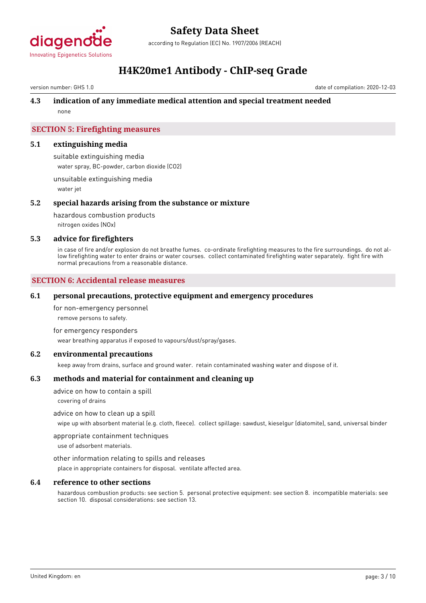

according to Regulation (EC) No. 1907/2006 (REACH)

### **H4K20me1 Antibody - ChIP-seq Grade**

version number: GHS 1.0 date of compilation: 2020-12-03

#### **4.3 indication of any immediate medical attention and special treatment needed**

none

#### **SECTION 5: Firefighting measures**

#### **5.1 extinguishing media**

suitable extinguishing media water spray, BC-powder, carbon dioxide (CO2)

unsuitable extinguishing media water jet

#### **5.2 special hazards arising from the substance or mixture**

hazardous combustion products nitrogen oxides (NOx)

#### **5.3 advice for firefighters**

in case of fire and/or explosion do not breathe fumes. co-ordinate firefighting measures to the fire surroundings. do not allow firefighting water to enter drains or water courses. collect contaminated firefighting water separately. fight fire with normal precautions from a reasonable distance.

#### **SECTION 6: Accidental release measures**

#### **6.1 personal precautions, protective equipment and emergency procedures**

for non-emergency personnel

remove persons to safety.

#### for emergency responders

wear breathing apparatus if exposed to vapours/dust/spray/gases.

#### **6.2 environmental precautions**

keep away from drains, surface and ground water. retain contaminated washing water and dispose of it.

#### **6.3 methods and material for containment and cleaning up**

advice on how to contain a spill

covering of drains

#### advice on how to clean up a spill

wipe up with absorbent material (e.g. cloth, fleece). collect spillage: sawdust, kieselgur (diatomite), sand, universal binder

appropriate containment techniques

use of adsorbent materials.

#### other information relating to spills and releases

place in appropriate containers for disposal. ventilate affected area.

#### **6.4 reference to other sections**

hazardous combustion products: see section 5. personal protective equipment: see section 8. incompatible materials: see section 10. disposal considerations: see section 13.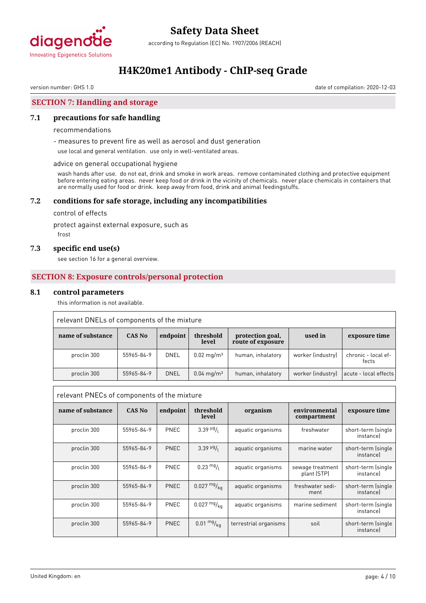

according to Regulation (EC) No. 1907/2006 (REACH)

### **H4K20me1 Antibody - ChIP-seq Grade**

version number: GHS 1.0 date of compilation: 2020-12-03

#### **SECTION 7: Handling and storage**

#### **7.1 precautions for safe handling**

#### recommendations

- measures to prevent fire as well as aerosol and dust generation

use local and general ventilation. use only in well-ventilated areas.

#### advice on general occupational hygiene

wash hands after use. do not eat, drink and smoke in work areas. remove contaminated clothing and protective equipment before entering eating areas. never keep food or drink in the vicinity of chemicals. never place chemicals in containers that are normally used for food or drink. keep away from food, drink and animal feedingstuffs.

#### **7.2 conditions for safe storage, including any incompatibilities**

control of effects

protect against external exposure, such as

frost

#### **7.3 specific end use(s)**

see section 16 for a general overview.

#### **SECTION 8: Exposure controls/personal protection**

#### **8.1 control parameters**

this information is not available.

| relevant DNELs of components of the mixture |            |             |                          |                                       |                   |                              |
|---------------------------------------------|------------|-------------|--------------------------|---------------------------------------|-------------------|------------------------------|
| name of substance                           | CAS No     | endpoint    | threshold<br>level       | protection goal,<br>route of exposure | used in           | exposure time                |
| proclin 300                                 | 55965-84-9 | DNEL        | $0.02 \,\mathrm{mg/m^3}$ | human, inhalatory                     | worker (industry) | chronic - local ef-<br>fects |
| proclin 300                                 | 55965-84-9 | <b>DNEL</b> | $0.04 \,\mathrm{mq/m^3}$ | human, inhalatory                     | worker (industry) | acute - local effects        |

|                   | relevant PNECs of components of the mixture |             |                                     |                       |                                 |                                 |
|-------------------|---------------------------------------------|-------------|-------------------------------------|-----------------------|---------------------------------|---------------------------------|
| name of substance | <b>CAS No</b>                               | endpoint    | threshold<br>level                  | organism              | environmental<br>compartment    | exposure time                   |
| proclin 300       | 55965-84-9                                  | PNEC        | $3.39$ <sup>µg</sup> / <sub>l</sub> | aquatic organisms     | freshwater                      | short-term (single<br>instancel |
| proclin 300       | 55965-84-9                                  | PNEC        | $3.39$ $\frac{\mu g}{I}$            | aquatic organisms     | marine water                    | short-term (single<br>instancel |
| proclin 300       | 55965-84-9                                  | <b>PNEC</b> | $0.23 \frac{mg}{l}$                 | aquatic organisms     | sewage treatment<br>plant (STP) | short-term (single<br>instancel |
| proclin 300       | 55965-84-9                                  | <b>PNEC</b> | $0.027 \frac{mg}{ka}$               | aquatic organisms     | freshwater sedi-<br>ment        | short-term (single<br>instancel |
| proclin 300       | 55965-84-9                                  | PNEC        | $0.027 \frac{mg}{ka}$               | aquatic organisms     | marine sediment                 | short-term (single<br>instancel |
| proclin 300       | 55965-84-9                                  | <b>PNEC</b> | $0.01 \frac{mg}{kg}$                | terrestrial organisms | soil                            | short-term (single<br>instancel |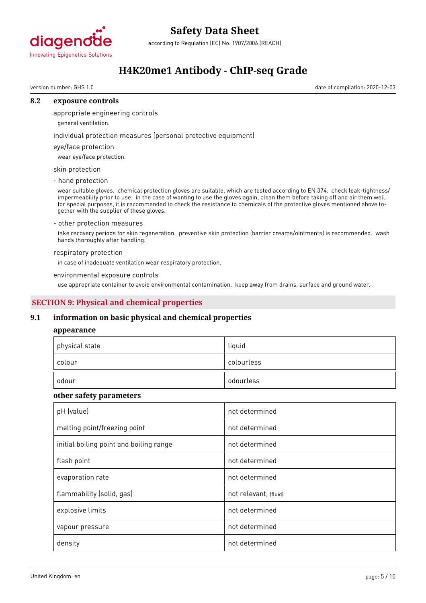

according to Regulation (EC) No. 1907/2006 (REACH)

### **H4K20me1 Antibody - ChIP-seq Grade**

version number: GHS 1.0 date of compilation: 2020-12-03

#### **8.2 exposure controls**

appropriate engineering controls

general ventilation.

individual protection measures (personal protective equipment)

#### eye/face protection

wear eye/face protection.

#### skin protection

- hand protection

wear suitable gloves. chemical protection gloves are suitable, which are tested according to EN 374. check leak-tightness/ impermeability prior to use. in the case of wanting to use the gloves again, clean them before taking off and air them well. for special purposes, it is recommended to check the resistance to chemicals of the protective gloves mentioned above together with the supplier of these gloves.

#### - other protection measures

take recovery periods for skin regeneration. preventive skin protection (barrier creams/ointments) is recommended. wash hands thoroughly after handling.

#### respiratory protection

in case of inadequate ventilation wear respiratory protection.

#### environmental exposure controls

use appropriate container to avoid environmental contamination. keep away from drains, surface and ground water.

#### **SECTION 9: Physical and chemical properties**

#### **9.1 information on basic physical and chemical properties**

#### **appearance**

| physical state | liquid     |
|----------------|------------|
| colour         | colourless |
| odour          | odourless  |

#### **other safety parameters**

| pH (value)                              | not determined        |
|-----------------------------------------|-----------------------|
| melting point/freezing point            | not determined        |
| initial boiling point and boiling range | not determined        |
| flash point                             | not determined        |
| evaporation rate                        | not determined        |
| flammability (solid, gas)               | not relevant, (fluid) |
| explosive limits                        | not determined        |
| vapour pressure                         | not determined        |
| density                                 | not determined        |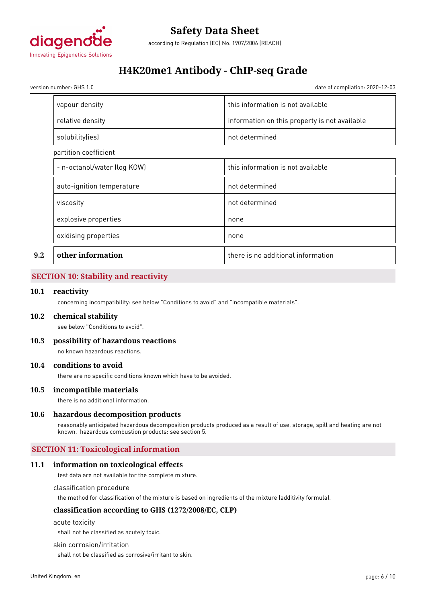

### **H4K20me1 Antibody - ChIP-seq Grade**

version number: GHS 1.0 date of compilation: 2020-12-03

|     | vapour density              | this information is not available             |
|-----|-----------------------------|-----------------------------------------------|
|     | relative density            | information on this property is not available |
|     | solubility(ies)             | not determined                                |
|     | partition coefficient       |                                               |
|     | - n-octanol/water (log KOW) | this information is not available             |
|     | auto-ignition temperature   | not determined                                |
|     | viscosity                   | not determined                                |
|     | explosive properties        | none                                          |
|     | oxidising properties        | none                                          |
| 9.2 | other information           | there is no additional information            |

#### **SECTION 10: Stability and reactivity**

#### **10.1 reactivity**

concerning incompatibility: see below "Conditions to avoid" and "Incompatible materials".

#### **10.2 chemical stability**

see below "Conditions to avoid".

**10.3 possibility of hazardous reactions**

no known hazardous reactions.

#### **10.4 conditions to avoid**

there are no specific conditions known which have to be avoided.

#### **10.5 incompatible materials**

there is no additional information.

#### **10.6 hazardous decomposition products**

reasonably anticipated hazardous decomposition products produced as a result of use, storage, spill and heating are not known. hazardous combustion products: see section 5.

#### **SECTION 11: Toxicological information**

#### **11.1 information on toxicological effects**

test data are not available for the complete mixture.

classification procedure

the method for classification of the mixture is based on ingredients of the mixture (additivity formula).

#### **classification according to GHS (1272/2008/EC, CLP)**

acute toxicity

shall not be classified as acutely toxic.

#### skin corrosion/irritation

shall not be classified as corrosive/irritant to skin.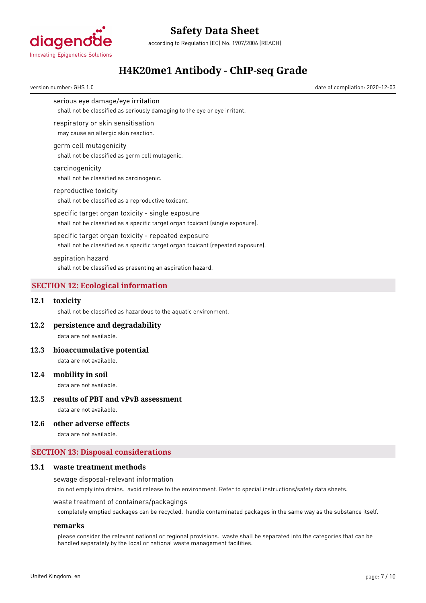

according to Regulation (EC) No. 1907/2006 (REACH)

### **H4K20me1 Antibody - ChIP-seq Grade**

version number: GHS 1.0 date of compilation: 2020-12-03

serious eye damage/eye irritation

shall not be classified as seriously damaging to the eye or eye irritant.

respiratory or skin sensitisation

may cause an allergic skin reaction.

#### germ cell mutagenicity shall not be classified as germ cell mutagenic.

#### carcinogenicity

shall not be classified as carcinogenic.

reproductive toxicity shall not be classified as a reproductive toxicant.

specific target organ toxicity - single exposure

shall not be classified as a specific target organ toxicant (single exposure).

specific target organ toxicity - repeated exposure shall not be classified as a specific target organ toxicant (repeated exposure).

aspiration hazard

shall not be classified as presenting an aspiration hazard.

#### **SECTION 12: Ecological information**

#### **12.1 toxicity**

shall not be classified as hazardous to the aquatic environment.

**12.2 persistence and degradability**

data are not available.

### **12.3 bioaccumulative potential**

data are not available.

#### **12.4 mobility in soil**

data are not available.

#### **12.5 results of PBT and vPvB assessment** data are not available.

#### **12.6 other adverse effects**

data are not available.

#### **SECTION 13: Disposal considerations**

#### **13.1 waste treatment methods**

#### sewage disposal-relevant information

do not empty into drains. avoid release to the environment. Refer to special instructions/safety data sheets.

#### waste treatment of containers/packagings

completely emptied packages can be recycled. handle contaminated packages in the same way as the substance itself.

#### **remarks**

please consider the relevant national or regional provisions. waste shall be separated into the categories that can be handled separately by the local or national waste management facilities.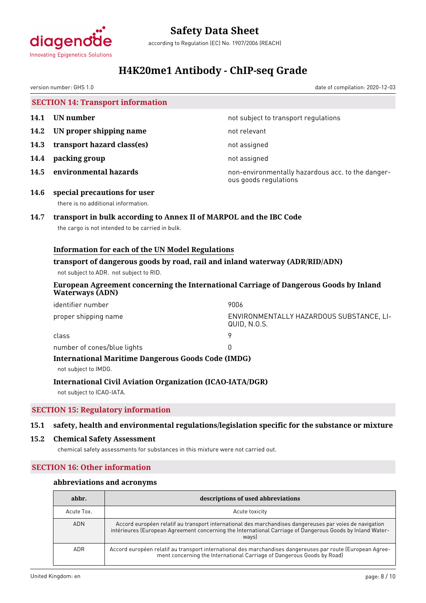

according to Regulation (EC) No. 1907/2006 (REACH)

## **H4K20me1 Antibody - ChIP-seq Grade**

|      | version number: GHS 1.0                                                                       |                                                                                                                        | date of compilation: 2020-12-03                                                                                                                                                                                              |  |
|------|-----------------------------------------------------------------------------------------------|------------------------------------------------------------------------------------------------------------------------|------------------------------------------------------------------------------------------------------------------------------------------------------------------------------------------------------------------------------|--|
|      |                                                                                               | <b>SECTION 14: Transport information</b>                                                                               |                                                                                                                                                                                                                              |  |
| 14.1 | <b>UN</b> number                                                                              |                                                                                                                        | not subject to transport regulations                                                                                                                                                                                         |  |
| 14.2 | UN proper shipping name                                                                       |                                                                                                                        | not relevant                                                                                                                                                                                                                 |  |
| 14.3 | transport hazard class(es)                                                                    |                                                                                                                        | not assigned                                                                                                                                                                                                                 |  |
| 14.4 | packing group                                                                                 |                                                                                                                        | not assigned                                                                                                                                                                                                                 |  |
| 14.5 | environmental hazards                                                                         |                                                                                                                        | non-environmentally hazardous acc. to the danger-<br>ous goods regulations                                                                                                                                                   |  |
| 14.6 | special precautions for user<br>there is no additional information.                           |                                                                                                                        |                                                                                                                                                                                                                              |  |
| 14.7 |                                                                                               | transport in bulk according to Annex II of MARPOL and the IBC Code<br>the cargo is not intended to be carried in bulk. |                                                                                                                                                                                                                              |  |
|      |                                                                                               | <b>Information for each of the UN Model Regulations</b>                                                                |                                                                                                                                                                                                                              |  |
|      |                                                                                               | not subject to ADR. not subject to RID.                                                                                | transport of dangerous goods by road, rail and inland waterway (ADR/RID/ADN)                                                                                                                                                 |  |
|      | <b>Waterways (ADN)</b>                                                                        |                                                                                                                        | European Agreement concerning the International Carriage of Dangerous Goods by Inland                                                                                                                                        |  |
|      | identifier number                                                                             |                                                                                                                        | 9006                                                                                                                                                                                                                         |  |
|      | proper shipping name                                                                          |                                                                                                                        | ENVIRONMENTALLY HAZARDOUS SUBSTANCE, LI-<br>QUID, N.O.S.                                                                                                                                                                     |  |
|      | class                                                                                         |                                                                                                                        | 9                                                                                                                                                                                                                            |  |
|      | number of cones/blue lights<br>0<br><b>International Maritime Dangerous Goods Code (IMDG)</b> |                                                                                                                        |                                                                                                                                                                                                                              |  |
|      | not subject to IMDG.<br><b>International Civil Aviation Organization (ICAO-IATA/DGR)</b>      |                                                                                                                        |                                                                                                                                                                                                                              |  |
|      | not subject to ICAO-IATA.                                                                     |                                                                                                                        |                                                                                                                                                                                                                              |  |
|      |                                                                                               | <b>SECTION 15: Regulatory information</b>                                                                              |                                                                                                                                                                                                                              |  |
| 15.1 |                                                                                               |                                                                                                                        | safety, health and environmental regulations/legislation specific for the substance or mixture                                                                                                                               |  |
| 15.2 |                                                                                               | <b>Chemical Safety Assessment</b><br>chemical safety assessments for substances in this mixture were not carried out.  |                                                                                                                                                                                                                              |  |
|      | <b>SECTION 16: Other information</b>                                                          |                                                                                                                        |                                                                                                                                                                                                                              |  |
|      |                                                                                               | abbreviations and acronyms                                                                                             |                                                                                                                                                                                                                              |  |
|      | abbr.                                                                                         |                                                                                                                        | descriptions of used abbreviations                                                                                                                                                                                           |  |
|      | Acute Tox.                                                                                    |                                                                                                                        | Acute toxicity                                                                                                                                                                                                               |  |
|      | ADN                                                                                           |                                                                                                                        | Accord européen relatif au transport international des marchandises dangereuses par voies de navigation<br>intérieures (European Agreement concerning the International Carriage of Dangerous Goods by Inland Water-<br>ways |  |

ADR Accord européen relatif au transport international des marchandises dangereuses par route (European Agree-

ment concerning the International Carriage of Dangerous Goods by Road)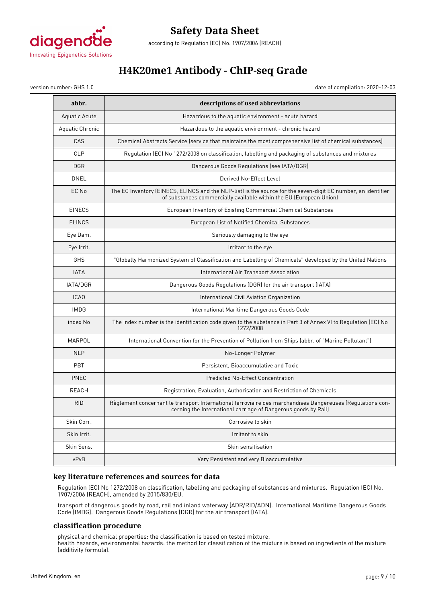

### **Safety Data Sheet** according to Regulation (EC) No. 1907/2006 (REACH)

### **H4K20me1 Antibody - ChIP-seq Grade**

version number: GHS 1.0 date of compilation: 2020-12-03

| abbr.            | descriptions of used abbreviations                                                                                                                                                   |
|------------------|--------------------------------------------------------------------------------------------------------------------------------------------------------------------------------------|
| Aquatic Acute    | Hazardous to the aquatic environment - acute hazard                                                                                                                                  |
| Aquatic Chronic  | Hazardous to the aquatic environment - chronic hazard                                                                                                                                |
| CAS              | Chemical Abstracts Service (service that maintains the most comprehensive list of chemical substances)                                                                               |
| <b>CLP</b>       | Regulation (EC) No 1272/2008 on classification, labelling and packaging of substances and mixtures                                                                                   |
| <b>DGR</b>       | Dangerous Goods Regulations (see IATA/DGR)                                                                                                                                           |
| <b>DNEL</b>      | Derived No-Effect Level                                                                                                                                                              |
| EC No            | The EC Inventory (EINECS, ELINCS and the NLP-list) is the source for the seven-digit EC number, an identifier<br>of substances commercially available within the EU (European Union) |
| <b>EINECS</b>    | European Inventory of Existing Commercial Chemical Substances                                                                                                                        |
| <b>ELINCS</b>    | European List of Notified Chemical Substances                                                                                                                                        |
| Eye Dam.         | Seriously damaging to the eye                                                                                                                                                        |
| Eye Irrit.       | Irritant to the eye                                                                                                                                                                  |
| GHS              | "Globally Harmonized System of Classification and Labelling of Chemicals" developed by the United Nations                                                                            |
| <b>IATA</b>      | International Air Transport Association                                                                                                                                              |
| IATA/DGR         | Dangerous Goods Regulations (DGR) for the air transport (IATA)                                                                                                                       |
| ICA <sub>0</sub> | International Civil Aviation Organization                                                                                                                                            |
| <b>IMDG</b>      | International Maritime Dangerous Goods Code                                                                                                                                          |
| index No         | The Index number is the identification code given to the substance in Part 3 of Annex VI to Regulation (EC) No<br>1272/2008                                                          |
| MARPOL           | International Convention for the Prevention of Pollution from Ships (abbr. of "Marine Pollutant")                                                                                    |
| <b>NLP</b>       | No-Longer Polymer                                                                                                                                                                    |
| PBT              | Persistent, Bioaccumulative and Toxic                                                                                                                                                |
| <b>PNEC</b>      | <b>Predicted No-Effect Concentration</b>                                                                                                                                             |
| REACH            | Registration, Evaluation, Authorisation and Restriction of Chemicals                                                                                                                 |
| <b>RID</b>       | Règlement concernant le transport International ferroviaire des marchandises Dangereuses (Regulations con-<br>cerning the International carriage of Dangerous goods by Rail)         |
| Skin Corr.       | Corrosive to skin                                                                                                                                                                    |
| Skin Irrit.      | Irritant to skin                                                                                                                                                                     |
| Skin Sens.       | Skin sensitisation                                                                                                                                                                   |
| vPvB             | Very Persistent and very Bioaccumulative                                                                                                                                             |

#### **key literature references and sources for data**

Regulation (EC) No 1272/2008 on classification, labelling and packaging of substances and mixtures. Regulation (EC) No. 1907/2006 (REACH), amended by 2015/830/EU.

transport of dangerous goods by road, rail and inland waterway (ADR/RID/ADN). International Maritime Dangerous Goods Code (IMDG). Dangerous Goods Regulations (DGR) for the air transport (IATA).

#### **classification procedure**

physical and chemical properties: the classification is based on tested mixture. health hazards, environmental hazards: the method for classification of the mixture is based on ingredients of the mixture (additivity formula).